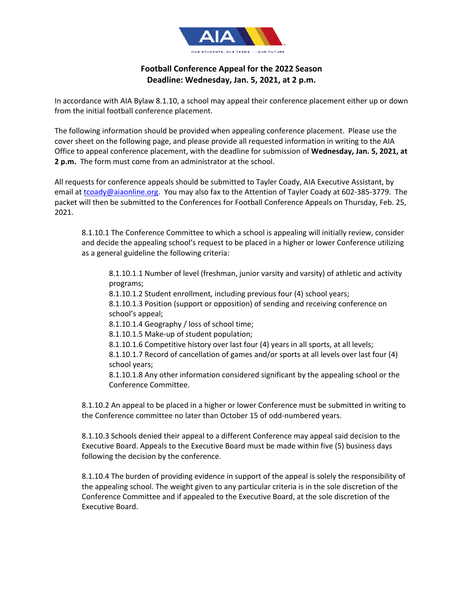

## **Football Conference Appeal for the 2022 Season Deadline: Wednesday, Jan. 5, 2021, at 2 p.m.**

In accordance with AIA Bylaw 8.1.10, a school may appeal their conference placement either up or down from the initial football conference placement.

The following information should be provided when appealing conference placement. Please use the cover sheet on the following page, and please provide all requested information in writing to the AIA Office to appeal conference placement, with the deadline for submission of **Wednesday, Jan. 5, 2021, at 2 p.m.** The form must come from an administrator at the school.

All requests for conference appeals should be submitted to Tayler Coady, AIA Executive Assistant, by email at tcoady@aiaonline.org. You may also fax to the Attention of Tayler Coady at 602-385-3779. The packet will then be submitted to the Conferences for Football Conference Appeals on Thursday, Feb. 25, 2021.

8.1.10.1 The Conference Committee to which a school is appealing will initially review, consider and decide the appealing school's request to be placed in a higher or lower Conference utilizing as a general guideline the following criteria:

8.1.10.1.1 Number of level (freshman, junior varsity and varsity) of athletic and activity programs;

8.1.10.1.2 Student enrollment, including previous four (4) school years;

8.1.10.1.3 Position (support or opposition) of sending and receiving conference on school's appeal;

8.1.10.1.4 Geography / loss of school time;

8.1.10.1.5 Make-up of student population;

8.1.10.1.6 Competitive history over last four (4) years in all sports, at all levels;

8.1.10.1.7 Record of cancellation of games and/or sports at all levels over last four (4) school years;

8.1.10.1.8 Any other information considered significant by the appealing school or the Conference Committee.

8.1.10.2 An appeal to be placed in a higher or lower Conference must be submitted in writing to the Conference committee no later than October 15 of odd-numbered years.

8.1.10.3 Schools denied their appeal to a different Conference may appeal said decision to the Executive Board. Appeals to the Executive Board must be made within five (5) business days following the decision by the conference.

8.1.10.4 The burden of providing evidence in support of the appeal is solely the responsibility of the appealing school. The weight given to any particular criteria is in the sole discretion of the Conference Committee and if appealed to the Executive Board, at the sole discretion of the Executive Board.